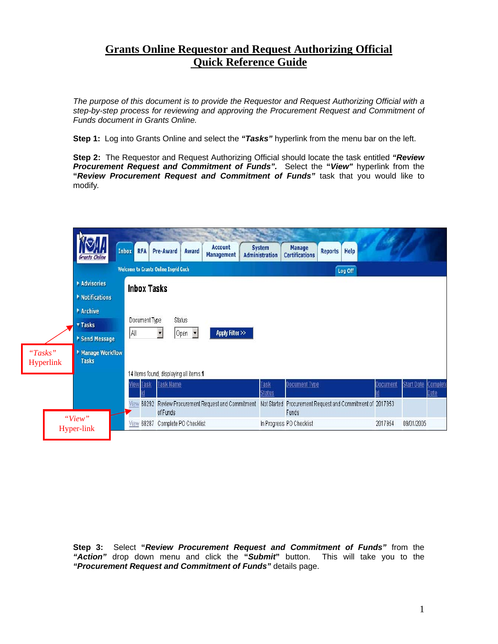## **Grants Online Requestor and Request Authorizing Official Quick Reference Guide**

*The purpose of this document is to provide the Requestor and Request Authorizing Official with a step-by-step process for reviewing and approving the Procurement Request and Commitment of Funds document in Grants Online.* 

**Step 1:** Log into Grants Online and select the *"Tasks"* hyperlink from the menu bar on the left.

**Step 2:** The Requestor and Request Authorizing Official should locate the task entitled *"Review Procurement Request and Commitment of Funds".* Select the **"***View"* hyperlink from the **"***Review Procurement Request and Commitment of Funds"* task that you would like to modify*.* 



**Step 3:** Select **"***Review Procurement Request and Commitment of Funds"* from the *"Action"* drop down menu and click the **"***Submit***"** button. This will take you to the *"Procurement Request and Commitment of Funds"* details page.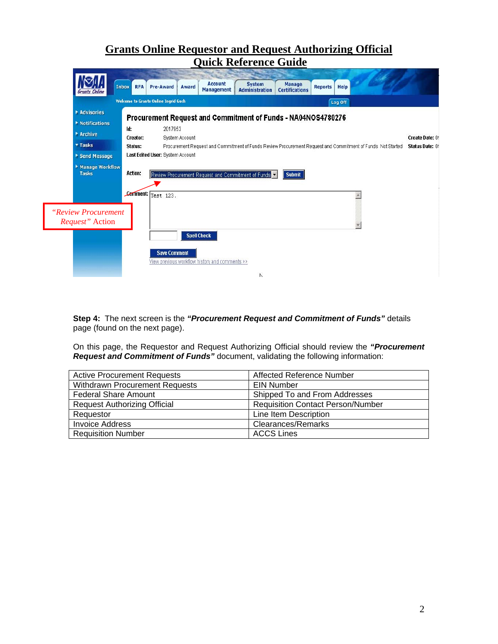## **Grants Online Requestor and Request Authorizing Official Quick Reference Guide**



**Step 4:** The next screen is the *"Procurement Request and Commitment of Funds"* details page (found on the next page).

On this page, the Requestor and Request Authorizing Official should review the *"Procurement Request and Commitment of Funds"* document, validating the following information:

| <b>Active Procurement Requests</b>    | Affected Reference Number                |
|---------------------------------------|------------------------------------------|
| <b>Withdrawn Procurement Requests</b> | <b>EIN Number</b>                        |
| <b>Federal Share Amount</b>           | Shipped To and From Addresses            |
| <b>Request Authorizing Official</b>   | <b>Requisition Contact Person/Number</b> |
| Requestor                             | Line Item Description                    |
| <b>Invoice Address</b>                | <b>Clearances/Remarks</b>                |
| <b>Requisition Number</b>             | <b>ACCS Lines</b>                        |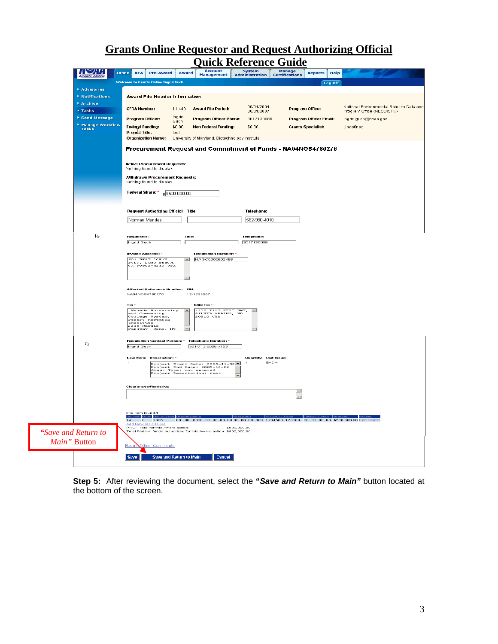## **Grants Online Requestor and Request Authorizing Official Quick Reference**

| ויש:                            | <b>RFA</b><br><b>Inbox</b> | <b>Pre-Award</b>                                                                                                               | Award                   | 'uick keierence Guide<br>Account                                                   |                                               |                                 |                           |         |                                                                        |  |
|---------------------------------|----------------------------|--------------------------------------------------------------------------------------------------------------------------------|-------------------------|------------------------------------------------------------------------------------|-----------------------------------------------|---------------------------------|---------------------------|---------|------------------------------------------------------------------------|--|
|                                 |                            |                                                                                                                                |                         | <b>Management</b>                                                                  | System<br>Administration                      | <b>Manage</b><br>Certifications | <b>Reports</b>            | Help    |                                                                        |  |
|                                 |                            | <b>Welcome to Grants Online Ingrid Guch</b>                                                                                    |                         |                                                                                    |                                               |                                 |                           | Log Off |                                                                        |  |
| Advisories<br>▶ Notifications   |                            | <b>Award File Header Information</b>                                                                                           |                         |                                                                                    |                                               |                                 |                           |         |                                                                        |  |
| $Archive$                       |                            |                                                                                                                                |                         |                                                                                    |                                               |                                 |                           |         |                                                                        |  |
| $Thus \overline{a}$             |                            | <b>CFDA Number:</b>                                                                                                            | 11.440                  | <b>Award File Period:</b>                                                          | 09/01/2004 -<br>08/31/2007                    | Program Office:                 |                           |         | National Environmental Satellite Data and<br>Program Office (NESDISPO) |  |
| ▶ Send Message                  |                            | Program Officer:                                                                                                               | Ingrid<br>Guch          | <b>Program Officer Phone:</b>                                                      | 3017130088                                    |                                 | Program Officer Email:    |         | ingrid.guch@noaa.gov                                                   |  |
| Manage Workflow<br><b>Tasks</b> | Project Title:             | <b>Federal Funding:</b><br><b>Organization Name:</b>                                                                           | \$0.00<br>test          | <b>Non Federal Funding:</b><br>University of Maryland, Biotechnology Institute     | \$0.00                                        |                                 | <b>Grants Specialist:</b> |         | Undefined                                                              |  |
|                                 |                            | Procurement Request and Commitment of Funds - NA04NOS4780276                                                                   |                         |                                                                                    |                                               |                                 |                           |         |                                                                        |  |
|                                 |                            | <b>Active Procurement Requests:</b><br>Nothing found to display.                                                               |                         |                                                                                    |                                               |                                 |                           |         |                                                                        |  |
|                                 |                            | Withdrawn Procurement Requests:<br>Nothing found to display.                                                                   |                         |                                                                                    |                                               |                                 |                           |         |                                                                        |  |
|                                 |                            | Federal Share: * \$\$500,000.00                                                                                                |                         |                                                                                    |                                               |                                 |                           |         |                                                                        |  |
|                                 |                            | Request Authorizing Official: Title                                                                                            |                         |                                                                                    | Telephone:                                    |                                 |                           |         |                                                                        |  |
|                                 |                            | Norman Mendes                                                                                                                  |                         |                                                                                    | 562-980-4010                                  |                                 |                           |         |                                                                        |  |
| R                               | Requestor:<br>Ingrid Guch  |                                                                                                                                | Title:<br>f             |                                                                                    | <b>Telephone:</b><br>3017130088               |                                 |                           |         |                                                                        |  |
|                                 |                            | Invoice Address: *<br><b>501 WEST OCEAN</b><br>SUI WEST OCEAN<br>BVLD, LONG BEACH,<br>CA 90802-4213 USA                        |                         | <b>Requisition Number: *</b><br>$\Delta$ NAGO0000502458                            |                                               |                                 |                           |         |                                                                        |  |
|                                 |                            | Affected Reference Number: EIN:<br>NA04NOS4780276                                                                              |                         | 12-1234567                                                                         |                                               |                                 |                           |         |                                                                        |  |
|                                 | To: '                      | Nevada University<br>and Community<br>College System,<br>Desert Research<br>Institute<br>2215 Raggio<br>Parkway Re<br>Reno, NV | $\sim$<br>$-1$          | Ship To: *<br>1335 EAST WEST HWY.<br>SILVER SPRING, MD                             | $\sim$                                        |                                 |                           |         |                                                                        |  |
| $\mathbb{Z}$                    | Ingrid Guch                |                                                                                                                                |                         | Requisition Contact Person: * Telephone Number: *<br>301-713-0088 x153             |                                               |                                 |                           |         |                                                                        |  |
|                                 | $\mathbf{1}$               | Line Item: Description: *                                                                                                      |                         | Project Start Date: 2005-11-02.<br>$\overline{ }$                                  | Quantity: Unit Issue:<br>EACH<br>$\mathbf{1}$ |                                 |                           |         |                                                                        |  |
|                                 |                            | <b>Clearances/Remarks:</b>                                                                                                     |                         |                                                                                    |                                               | $\sim$<br>$\vert$               |                           |         |                                                                        |  |
|                                 |                            |                                                                                                                                |                         |                                                                                    |                                               |                                 |                           |         |                                                                        |  |
|                                 | 14                         | One item found.1<br><b>Bureau Fund Fis</b><br>2005<br>$\sigma$                                                                 |                         |                                                                                    |                                               |                                 |                           |         |                                                                        |  |
| "Save and Return to             |                            | Add New ACCS Line<br>PRCF Total for this Award action:                                                                         |                         | \$500,000.00<br>Total Federal funds authorized for this Award action: \$500,000.00 |                                               |                                 |                           |         |                                                                        |  |
|                                 |                            |                                                                                                                                |                         |                                                                                    |                                               |                                 |                           |         |                                                                        |  |
| Main" Button                    |                            | Budge Officer Comments                                                                                                         |                         |                                                                                    |                                               |                                 |                           |         |                                                                        |  |
|                                 | Save                       |                                                                                                                                | Save and Return to Main | Cancel                                                                             |                                               |                                 |                           |         |                                                                        |  |
|                                 |                            |                                                                                                                                |                         |                                                                                    |                                               |                                 |                           |         |                                                                        |  |

**Step 5:** After reviewing the document, select the **"***Save and Return to Main"* button located at the bottom of the screen.